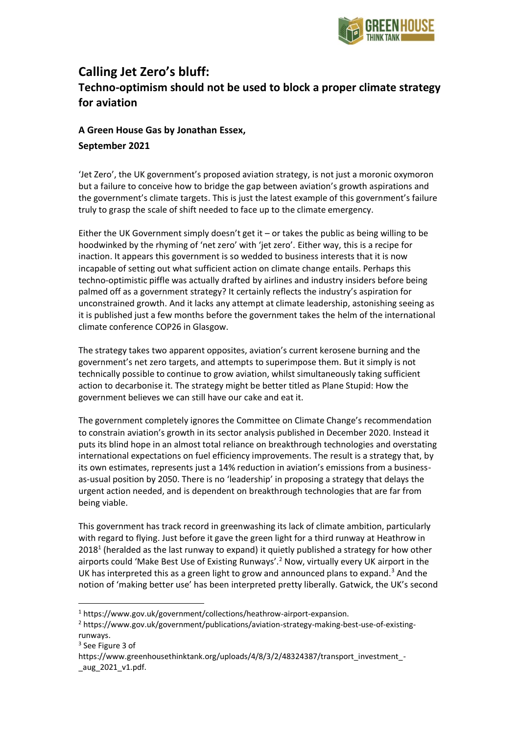

## **Calling Jet Zero's bluff: Techno-optimism should not be used to block a proper climate strategy for aviation**

## **A Green House Gas by Jonathan Essex, September 2021**

'Jet Zero', the UK government's proposed aviation strategy, is not just a moronic oxymoron but a failure to conceive how to bridge the gap between aviation's growth aspirations and the government's climate targets. This is just the latest example of this government's failure truly to grasp the scale of shift needed to face up to the climate emergency.

Either the UK Government simply doesn't get it – or takes the public as being willing to be hoodwinked by the rhyming of 'net zero' with 'jet zero'. Either way, this is a recipe for inaction. It appears this government is so wedded to business interests that it is now incapable of setting out what sufficient action on climate change entails. Perhaps this techno-optimistic piffle was actually drafted by airlines and industry insiders before being palmed off as a government strategy? It certainly reflects the industry's aspiration for unconstrained growth. And it lacks any attempt at climate leadership, astonishing seeing as it is published just a few months before the government takes the helm of the international climate conference COP26 in Glasgow.

The strategy takes two apparent opposites, aviation's current kerosene burning and the government's net zero targets, and attempts to superimpose them. But it simply is not technically possible to continue to grow aviation, whilst simultaneously taking sufficient action to decarbonise it. The strategy might be better titled as Plane Stupid: How the government believes we can still have our cake and eat it.

The government completely ignores the Committee on Climate Change's recommendation to constrain aviation's growth in its sector analysis published in December 2020. Instead it puts its blind hope in an almost total reliance on breakthrough technologies and overstating international expectations on fuel efficiency improvements. The result is a strategy that, by its own estimates, represents just a 14% reduction in aviation's emissions from a businessas-usual position by 2050. There is no 'leadership' in proposing a strategy that delays the urgent action needed, and is dependent on breakthrough technologies that are far from being viable.

This government has track record in greenwashing its lack of climate ambition, particularly with regard to flying. Just before it gave the green light for a third runway at Heathrow in 2018<sup>1</sup> (heralded as the last runway to expand) it quietly published a strategy for how other airports could 'Make Best Use of Existing Runways'.<sup>2</sup> Now, virtually every UK airport in the UK has interpreted this as a green light to grow and announced plans to expand.<sup>3</sup> And the notion of 'making better use' has been interpreted pretty liberally. Gatwick, the UK's second

<sup>1</sup> https://www.gov.uk/government/collections/heathrow-airport-expansion.

<sup>2</sup> https://www.gov.uk/government/publications/aviation-strategy-making-best-use-of-existingrunways.

<sup>3</sup> See Figure 3 of

https://www.greenhousethinktank.org/uploads/4/8/3/2/48324387/transport\_investment\_-\_aug\_2021\_v1.pdf.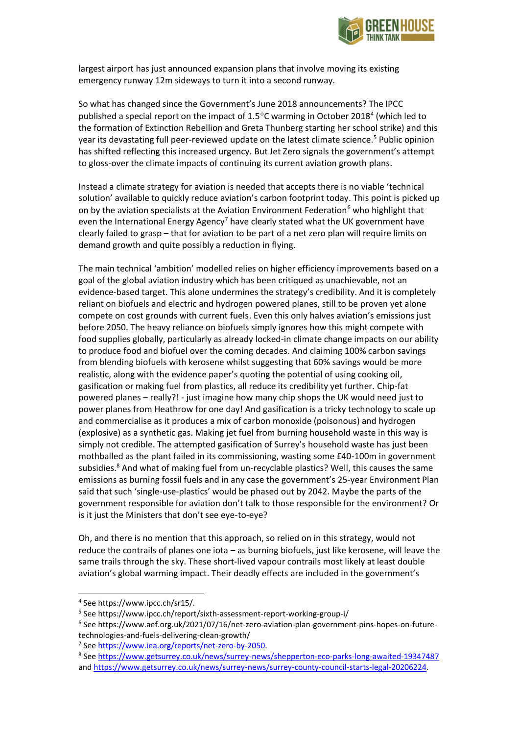

largest airport has just announced expansion plans that involve moving its existing emergency runway 12m sideways to turn it into a second runway.

So what has changed since the Government's June 2018 announcements? The IPCC published a special report on the impact of 1.5 $\degree$ C warming in October 2018<sup>4</sup> (which led to the formation of Extinction Rebellion and Greta Thunberg starting her school strike) and this year its devastating full peer-reviewed update on the latest climate science.<sup>5</sup> Public opinion has shifted reflecting this increased urgency. But Jet Zero signals the government's attempt to gloss-over the climate impacts of continuing its current aviation growth plans.

Instead a climate strategy for aviation is needed that accepts there is no viable 'technical solution' available to quickly reduce aviation's carbon footprint today. This point is picked up on by the aviation specialists at the Aviation Environment Federation<sup>6</sup> who highlight that even the International Energy Agency<sup>7</sup> have clearly stated what the UK government have clearly failed to grasp – that for aviation to be part of a net zero plan will require limits on demand growth and quite possibly a reduction in flying.

The main technical 'ambition' modelled relies on higher efficiency improvements based on a goal of the global aviation industry which has been critiqued as unachievable, not an evidence-based target. This alone undermines the strategy's credibility. And it is completely reliant on biofuels and electric and hydrogen powered planes, still to be proven yet alone compete on cost grounds with current fuels. Even this only halves aviation's emissions just before 2050. The heavy reliance on biofuels simply ignores how this might compete with food supplies globally, particularly as already locked-in climate change impacts on our ability to produce food and biofuel over the coming decades. And claiming 100% carbon savings from blending biofuels with kerosene whilst suggesting that 60% savings would be more realistic, along with the evidence paper's quoting the potential of using cooking oil, gasification or making fuel from plastics, all reduce its credibility yet further. Chip-fat powered planes – really?! - just imagine how many chip shops the UK would need just to power planes from Heathrow for one day! And gasification is a tricky technology to scale up and commercialise as it produces a mix of carbon monoxide (poisonous) and hydrogen (explosive) as a synthetic gas. Making jet fuel from burning household waste in this way is simply not credible. The attempted gasification of Surrey's household waste has just been mothballed as the plant failed in its commissioning, wasting some £40-100m in government subsidies.<sup>8</sup> And what of making fuel from un-recyclable plastics? Well, this causes the same emissions as burning fossil fuels and in any case the government's 25-year Environment Plan said that such 'single-use-plastics' would be phased out by 2042. Maybe the parts of the government responsible for aviation don't talk to those responsible for the environment? Or is it just the Ministers that don't see eye-to-eye?

Oh, and there is no mention that this approach, so relied on in this strategy, would not reduce the contrails of planes one iota – as burning biofuels, just like kerosene, will leave the same trails through the sky. These short-lived vapour contrails most likely at least double aviation's global warming impact. Their deadly effects are included in the government's

<sup>4</sup> See https://www.ipcc.ch/sr15/.

<sup>&</sup>lt;sup>5</sup> See https://www.ipcc.ch/report/sixth-assessment-report-working-group-i/

<sup>6</sup> See https://www.aef.org.uk/2021/07/16/net-zero-aviation-plan-government-pins-hopes-on-futuretechnologies-and-fuels-delivering-clean-growth/

<sup>&</sup>lt;sup>7</sup> Se[e https://www.iea.org/reports/net-zero-by-2050.](https://www.iea.org/reports/net-zero-by-2050)

<sup>&</sup>lt;sup>8</sup> See <u>https://www.getsurrey.co.uk/news/surrey-news/shepperton-eco-parks-long-awaited-19347487</u> an[d https://www.getsurrey.co.uk/news/surrey-news/surrey-county-council-starts-legal-20206224.](https://www.getsurrey.co.uk/news/surrey-news/surrey-county-council-starts-legal-20206224)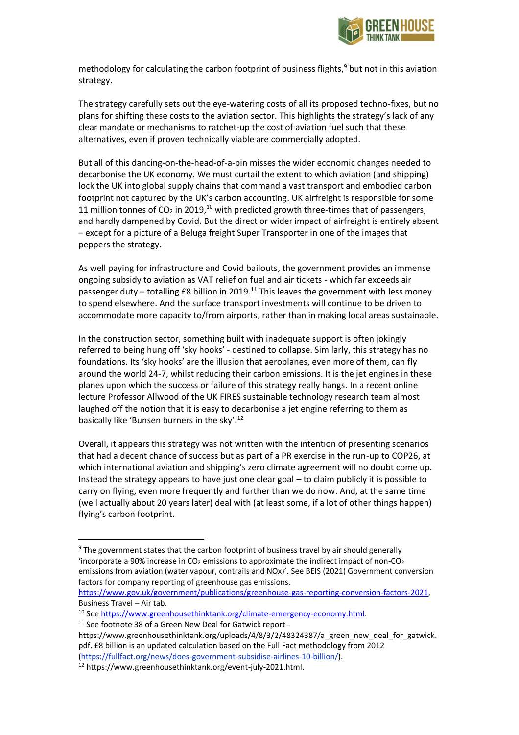

methodology for calculating the carbon footprint of business flights, $9$  but not in this aviation strategy.

The strategy carefully sets out the eye-watering costs of all its proposed techno-fixes, but no plans for shifting these costs to the aviation sector. This highlights the strategy's lack of any clear mandate or mechanisms to ratchet-up the cost of aviation fuel such that these alternatives, even if proven technically viable are commercially adopted.

But all of this dancing-on-the-head-of-a-pin misses the wider economic changes needed to decarbonise the UK economy. We must curtail the extent to which aviation (and shipping) lock the UK into global supply chains that command a vast transport and embodied carbon footprint not captured by the UK's carbon accounting. UK airfreight is responsible for some 11 million tonnes of CO<sub>2</sub> in 2019,<sup>10</sup> with predicted growth three-times that of passengers, and hardly dampened by Covid. But the direct or wider impact of airfreight is entirely absent – except for a picture of a Beluga freight Super Transporter in one of the images that peppers the strategy.

As well paying for infrastructure and Covid bailouts, the government provides an immense ongoing subsidy to aviation as VAT relief on fuel and air tickets - which far exceeds air passenger duty – totalling £8 billion in 2019.<sup>11</sup> This leaves the government with less money to spend elsewhere. And the surface transport investments will continue to be driven to accommodate more capacity to/from airports, rather than in making local areas sustainable.

In the construction sector, something built with inadequate support is often jokingly referred to being hung off 'sky hooks' - destined to collapse. Similarly, this strategy has no foundations. Its 'sky hooks' are the illusion that aeroplanes, even more of them, can fly around the world 24-7, whilst reducing their carbon emissions. It is the jet engines in these planes upon which the success or failure of this strategy really hangs. In a recent online lecture Professor Allwood of the UK FIRES sustainable technology research team almost laughed off the notion that it is easy to decarbonise a jet engine referring to them as basically like 'Bunsen burners in the sky'.<sup>12</sup>

Overall, it appears this strategy was not written with the intention of presenting scenarios that had a decent chance of success but as part of a PR exercise in the run-up to COP26, at which international aviation and shipping's zero climate agreement will no doubt come up. Instead the strategy appears to have just one clear goal – to claim publicly it is possible to carry on flying, even more frequently and further than we do now. And, at the same time (well actually about 20 years later) deal with (at least some, if a lot of other things happen) flying's carbon footprint.

<sup>&</sup>lt;sup>9</sup> The government states that the carbon footprint of business travel by air should generally 'incorporate a 90% increase in  $CO<sub>2</sub>$  emissions to approximate the indirect impact of non-CO<sub>2</sub> emissions from aviation (water vapour, contrails and NOx)'. See BEIS (2021) Government conversion factors for company reporting of greenhouse gas emissions.

[https://www.gov.uk/government/publications/greenhouse-gas-reporting-conversion-factors-2021,](https://www.gov.uk/government/publications/greenhouse-gas-reporting-conversion-factors-2021) Business Travel – Air tab.

<sup>&</sup>lt;sup>10</sup> Se[e https://www.greenhousethinktank.org/climate-emergency-economy.html.](https://www.greenhousethinktank.org/climate-emergency-economy.html)

<sup>11</sup> See footnote 38 of a Green New Deal for Gatwick report -

https://www.greenhousethinktank.org/uploads/4/8/3/2/48324387/a\_green\_new\_deal\_for\_gatwick. pdf. £8 billion is an updated calculation based on the Full Fact methodology from 2012 (https://fullfact.org/news/does-government-subsidise-airlines-10-billion/).

<sup>12</sup> https://www.greenhousethinktank.org/event-july-2021.html.